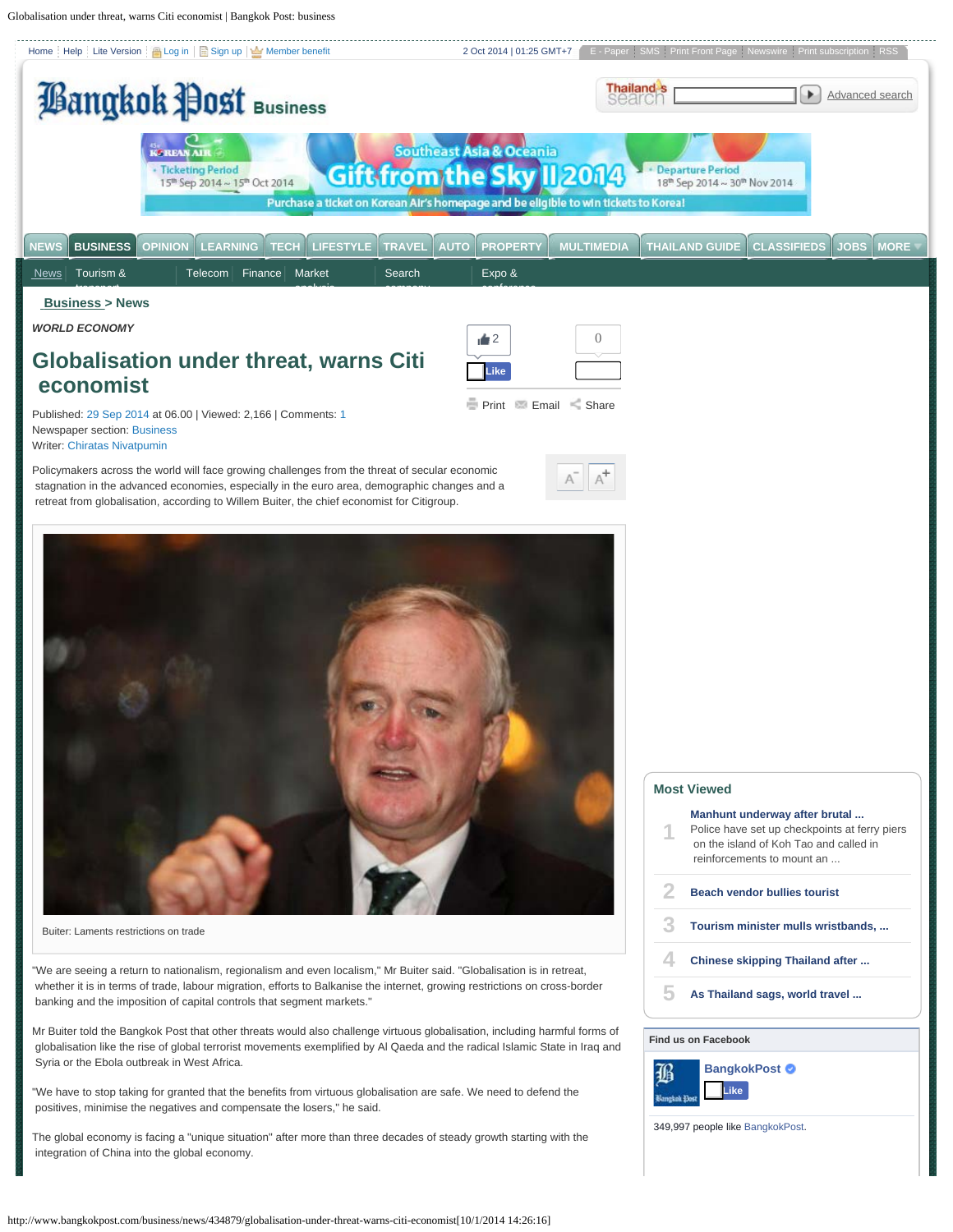<span id="page-0-0"></span>Globalisation under threat, warns Citi economist | Bangkok Post: business





Buiter: Laments restrictions on trade

"We are seeing a return to nationalism, regionalism and even localism," Mr Buiter said. "Globalisation is in retreat, whether it is in terms of trade, labour migration, efforts to Balkanise the internet, growing restrictions on cross-border banking and the imposition of capital controls that segment markets."

Mr Buiter told the Bangkok Post that other threats would also challenge virtuous globalisation, including harmful forms of globalisation like the rise of global terrorist movements exemplified by Al Qaeda and the radical Islamic State in Iraq and Syria or the Ebola outbreak in West Africa.

"We have to stop taking for granted that the benefits from virtuous globalisation are safe. We need to defend the positives, minimise the negatives and compensate the losers," he said.

The global economy is facing a "unique situation" after more than three decades of steady growth starting with the integration of China into the global economy.

| <b>Most Viewed</b> |                                                                                                                                                        |  |  |  |
|--------------------|--------------------------------------------------------------------------------------------------------------------------------------------------------|--|--|--|
|                    | Manhunt underway after brutal<br>Police have set up checkpoints at ferry piers<br>on the island of Koh Tao and called in<br>reinforcements to mount an |  |  |  |
|                    | <b>Beach vendor bullies tourist</b>                                                                                                                    |  |  |  |
|                    | Tourism minister mulls wristbands,                                                                                                                     |  |  |  |
|                    | Chinese skipping Thailand after                                                                                                                        |  |  |  |
|                    | As Thailand sags, world travel                                                                                                                         |  |  |  |
|                    | <b>Find us on Facebook</b>                                                                                                                             |  |  |  |
|                    |                                                                                                                                                        |  |  |  |



349,997 people like [BangkokPost](https://www.facebook.com/bangkokpost).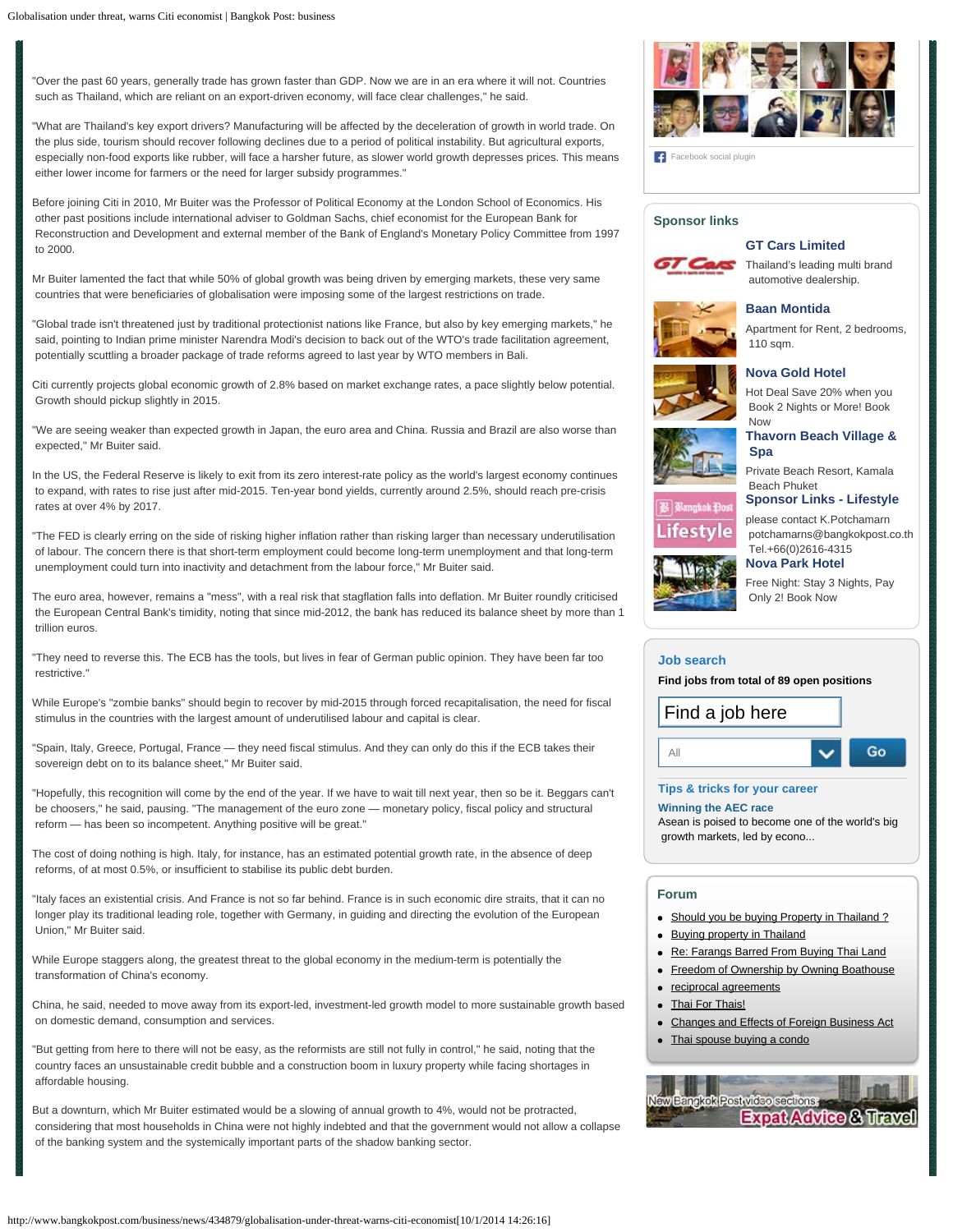"Over the past 60 years, generally trade has grown faster than GDP. Now we are in an era where it will not. Countries such as Thailand, which are reliant on an export-driven economy, will face clear challenges," he said.

"What are Thailand's key export drivers? Manufacturing will be affected by the deceleration of growth in world trade. On the plus side, tourism should recover following declines due to a period of political instability. But agricultural exports, especially non-food exports like rubber, will face a harsher future, as slower world growth depresses prices. This means either lower income for farmers or the need for larger subsidy programmes."

Before joining Citi in 2010, Mr Buiter was the Professor of Political Economy at the London School of Economics. His other past positions include international adviser to Goldman Sachs, chief economist for the European Bank for Reconstruction and Development and external member of the Bank of England's Monetary Policy Committee from 1997 to 2000.

Mr Buiter lamented the fact that while 50% of global growth was being driven by emerging markets, these very same countries that were beneficiaries of globalisation were imposing some of the largest restrictions on trade.

"Global trade isn't threatened just by traditional protectionist nations like France, but also by key emerging markets," he said, pointing to Indian prime minister Narendra Modi's decision to back out of the WTO's trade facilitation agreement, potentially scuttling a broader package of trade reforms agreed to last year by WTO members in Bali.

Citi currently projects global economic growth of 2.8% based on market exchange rates, a pace slightly below potential. Growth should pickup slightly in 2015.

"We are seeing weaker than expected growth in Japan, the euro area and China. Russia and Brazil are also worse than expected," Mr Buiter said.

In the US, the Federal Reserve is likely to exit from its zero interest-rate policy as the world's largest economy continues to expand, with rates to rise just after mid-2015. Ten-year bond yields, currently around 2.5%, should reach pre-crisis rates at over 4% by 2017.

"The FED is clearly erring on the side of risking higher inflation rather than risking larger than necessary underutilisation of labour. The concern there is that short-term employment could become long-term unemployment and that long-term unemployment could turn into inactivity and detachment from the labour force," Mr Buiter said.

The euro area, however, remains a "mess", with a real risk that stagflation falls into deflation. Mr Buiter roundly criticised the European Central Bank's timidity, noting that since mid-2012, the bank has reduced its balance sheet by more than 1 trillion euros.

"They need to reverse this. The ECB has the tools, but lives in fear of German public opinion. They have been far too restrictive."

While Europe's "zombie banks" should begin to recover by mid-2015 through forced recapitalisation, the need for fiscal stimulus in the countries with the largest amount of underutilised labour and capital is clear.

"Spain, Italy, Greece, Portugal, France — they need fiscal stimulus. And they can only do this if the ECB takes their sovereign debt on to its balance sheet," Mr Buiter said.

"Hopefully, this recognition will come by the end of the year. If we have to wait till next year, then so be it. Beggars can't be choosers," he said, pausing. "The management of the euro zone — monetary policy, fiscal policy and structural reform — has been so incompetent. Anything positive will be great."

The cost of doing nothing is high. Italy, for instance, has an estimated potential growth rate, in the absence of deep reforms, of at most 0.5%, or insufficient to stabilise its public debt burden.

"Italy faces an existential crisis. And France is not so far behind. France is in such economic dire straits, that it can no longer play its traditional leading role, together with Germany, in guiding and directing the evolution of the European Union," Mr Buiter said.

While Europe staggers along, the greatest threat to the global economy in the medium-term is potentially the transformation of China's economy.

China, he said, needed to move away from its export-led, investment-led growth model to more sustainable growth based on domestic demand, consumption and services.

"But getting from here to there will not be easy, as the reformists are still not fully in control," he said, noting that the country faces an unsustainable credit bubble and a construction boom in luxury property while facing shortages in affordable housing.

But a downturn, which Mr Buiter estimated would be a slowing of annual growth to 4%, would not be protracted, considering that most households in China were not highly indebted and that the government would not allow a collapse of the banking system and the systemically important parts of the shadow banking sector.



[Facebook social plugin](https://www.facebook.com/help/?page=209089222464503)

## **Sponsor links**

## **[GT Cars Limited](http://ads4.bangkokpost.co.th/ADCLICK/?STID=1000010010100&SITE=WEBDIRECTORY&AREA=SPONSOR_C&TYPE=SPONSOR+LINKS&POSITION=POSITION+A&METHOD=IFRAME&CATEGORY=&KEYWORD=&FONT_COLOR=ED7007&ACC_RANDOM=145924789%3F)**



Thailand's leading multi brand automotive dealership.



## Apartment for Rent, 2 bedrooms, 110 sqm.

# **[Nova Gold Hotel](http://ads4.bangkokpost.co.th/ADCLICK/?STID=1010111110110&SITE=WEBDIRECTORY&AREA=SPONSOR_C&TYPE=SPONSOR+LINKS&POSITION=POSITION+C&METHOD=IFRAME&CATEGORY=&KEYWORD=&FONT_COLOR=ED7007&ACC_RANDOM=82475069%3F)**

**[Baan Montida](http://ads4.bangkokpost.co.th/ADCLICK/?STID=111010001100&SITE=WEBDIRECTORY&AREA=SPONSOR_C&TYPE=SPONSOR+LINKS&POSITION=POSITION+B&METHOD=IFRAME&CATEGORY=&KEYWORD=&FONT_COLOR=ED7007&ACC_RANDOM=844325410%3F)**

Hot Deal Save 20% when you Book 2 Nights or More! Book Now



**[Thavorn Beach Village &](http://ads4.bangkokpost.co.th/ADCLICK/?STID=1011010000011&SITE=WEBDIRECTORY&AREA=SPONSOR_C&TYPE=SPONSOR+LINKS&POSITION=POSITION+D&METHOD=IFRAME&CATEGORY=&KEYWORD=&FONT_COLOR=ED7007&ACC_RANDOM=705301350%3F)  [Spa](http://ads4.bangkokpost.co.th/ADCLICK/?STID=1011010000011&SITE=WEBDIRECTORY&AREA=SPONSOR_C&TYPE=SPONSOR+LINKS&POSITION=POSITION+D&METHOD=IFRAME&CATEGORY=&KEYWORD=&FONT_COLOR=ED7007&ACC_RANDOM=705301350%3F)**

Private Beach Resort, Kamala Beach Phuket

**[Sponsor Links - Lifestyle](http://ads4.bangkokpost.co.th/ADCLICK/?STID=111000010000&SITE=WEBDIRECTORY&AREA=SPONSOR_C&TYPE=SPONSOR+LINKS&POSITION=POSITION+E&METHOD=IFRAME&CATEGORY=&KEYWORD=&FONT_COLOR=ED7007&ACC_RANDOM=814138580%3F)**



please contact K.Potchamarn potchamarns@bangkokpost.co.th Tel.+66(0)2616-4315 **[Nova Park Hotel](http://ads4.bangkokpost.co.th/ADCLICK/?STID=1010111111011&SITE=WEBDIRECTORY&AREA=SPONSOR_C&TYPE=SPONSOR+LINKS&POSITION=POSITION+F&METHOD=IFRAME&CATEGORY=&KEYWORD=&FONT_COLOR=ED7007&ACC_RANDOM=710215842%3F)**



Free Night: Stay 3 Nights, Pay Only 2! Book Now

#### **[Job search](http://job.bangkokpost.com/search/)**

**Find jobs from total of 89 open positions**



### **[Tips & tricks for your career](http://job.bangkokpost.com/career-guide/)**

#### **[Winning the AEC race](http://job.bangkokpost.com/career-guide/433553_winning-the-aec-race.html)**

Asean is poised to become one of the world's big growth markets, led by econo...

## **Forum**

- [Should you be buying Property in Thailand ?](http://www.bangkokpost.com/forum/viewtopic.php?f=55&t=70)
- [Buying property in Thailand](http://www.bangkokpost.com/forum/viewtopic.php?f=55&t=55)
- [Re: Farangs Barred From Buying Thai Land](http://www.bangkokpost.com/forum/viewtopic.php?f=55&t=2102)
- [Freedom of Ownership by Owning Boathouse](http://www.bangkokpost.com/forum/viewtopic.php?f=55&t=60)
- [reciprocal agreements](http://www.bangkokpost.com/forum/viewtopic.php?f=63&t=589)
- [Thai For Thais!](http://www.bangkokpost.com/forum/viewtopic.php?f=55&t=64)
- [Changes and Effects of Foreign Business Act](http://www.bangkokpost.com/forum/viewtopic.php?f=63&t=46)
- [Thai spouse buying a condo](http://www.bangkokpost.com/forum/viewtopic.php?f=55&t=6171)

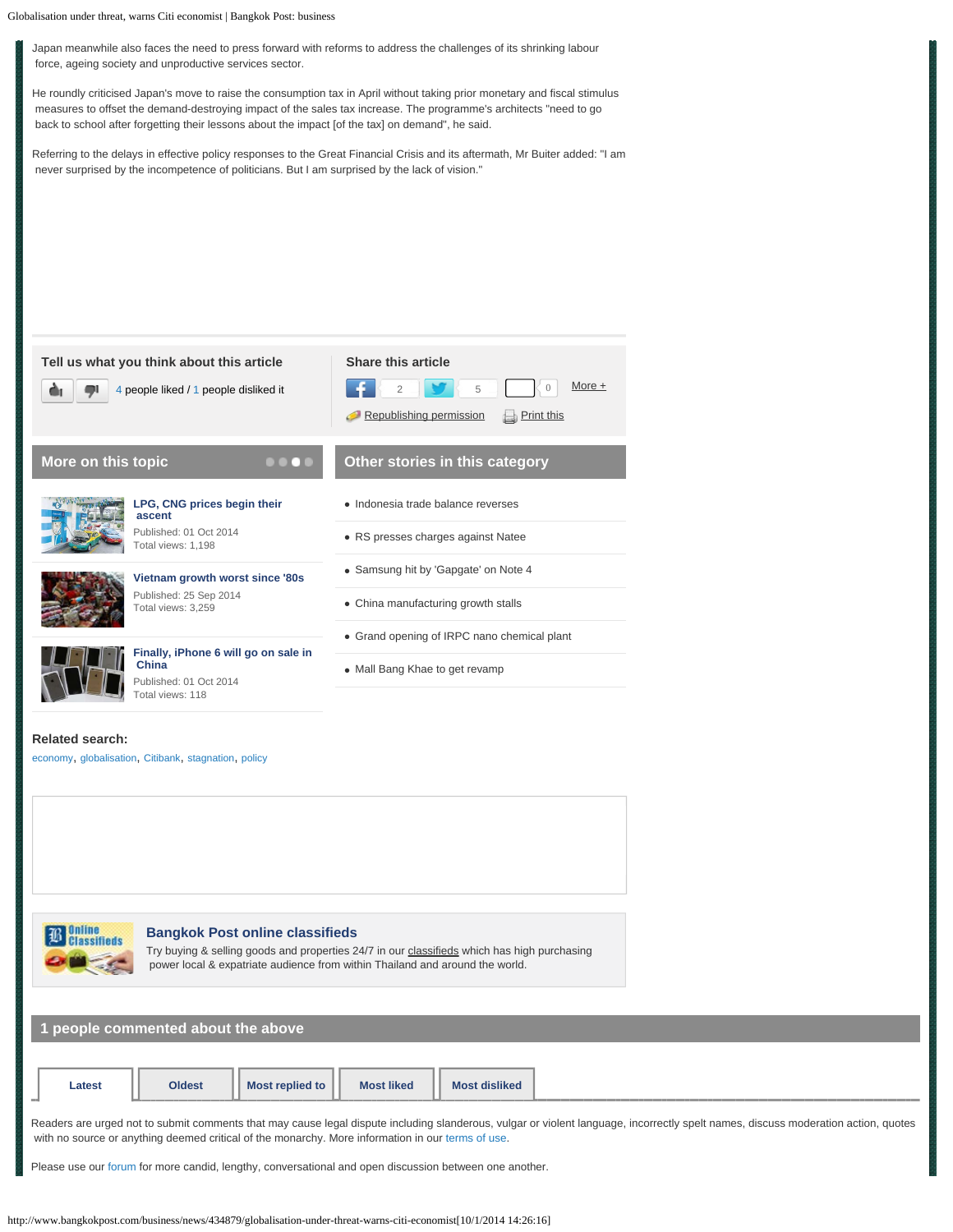Globalisation under threat, warns Citi economist | Bangkok Post: business

Japan meanwhile also faces the need to press forward with reforms to address the challenges of its shrinking labour force, ageing society and unproductive services sector.

He roundly criticised Japan's move to raise the consumption tax in April without taking prior monetary and fiscal stimulus measures to offset the demand-destroying impact of the sales tax increase. The programme's architects "need to go back to school after forgetting their lessons about the impact [of the tax] on demand", he said.

Referring to the delays in effective policy responses to the Great Financial Crisis and its aftermath, Mr Buiter added: "I am never surprised by the incompetence of politicians. But I am surprised by the lack of vision."





## **[Bangkok Post online classifieds](http://classifieds.bangkokpost.com/)**

Try buying & selling goods and properties 24/7 in our [classifieds](http://classifieds.bangkokpost.com/) which has high purchasing power local & expatriate audience from within Thailand and around the world.

**1 people commented about the above**

| Latest | <b>Oldest</b> | Most replied to | <b>Most liked</b> | <b>Most disliked</b> |  |
|--------|---------------|-----------------|-------------------|----------------------|--|
|        |               |                 |                   |                      |  |

Readers are urged not to submit comments that may cause legal dispute including slanderous, vulgar or violent language, incorrectly spelt names, discuss moderation action, quotes with no source or anything deemed critical of the monarchy. More information in our [terms of use](http://www.bangkokpost.com/policy).

Please use our [forum](http://www.bangkokpost.com/forum) for more candid, lengthy, conversational and open discussion between one another.